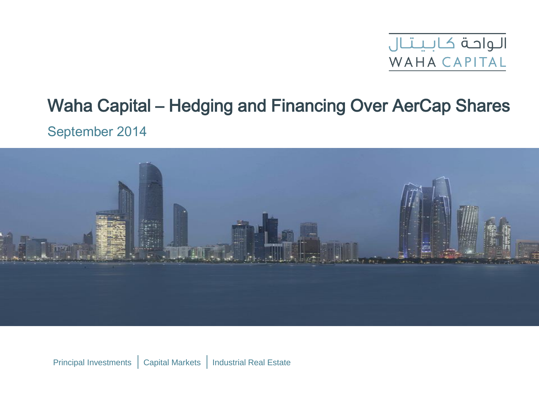

# Waha Capital – Hedging and Financing Over AerCap Shares September 2014



Principal Investments | Capital Markets | Industrial Real Estate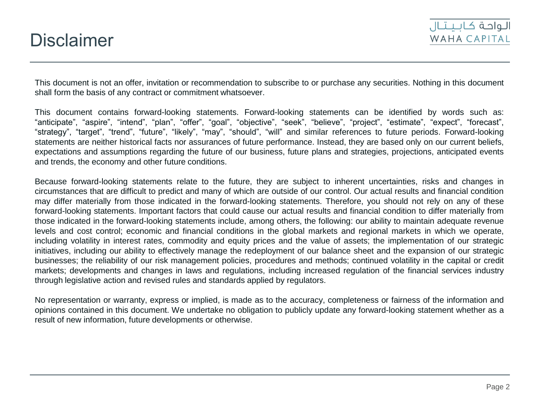### **Disclaimer**



This document is not an offer, invitation or recommendation to subscribe to or purchase any securities. Nothing in this document shall form the basis of any contract or commitment whatsoever.

This document contains forward-looking statements. Forward-looking statements can be identified by words such as: "anticipate", "aspire", "intend", "plan", "offer", "goal", "objective", "seek", "believe", "project", "estimate", "expect", "forecast", "strategy", "target", "trend", "future", "likely", "may", "should", "will" and similar references to future periods. Forward-looking statements are neither historical facts nor assurances of future performance. Instead, they are based only on our current beliefs, expectations and assumptions regarding the future of our business, future plans and strategies, projections, anticipated events and trends, the economy and other future conditions.

Because forward-looking statements relate to the future, they are subject to inherent uncertainties, risks and changes in circumstances that are difficult to predict and many of which are outside of our control. Our actual results and financial condition may differ materially from those indicated in the forward-looking statements. Therefore, you should not rely on any of these forward-looking statements. Important factors that could cause our actual results and financial condition to differ materially from those indicated in the forward-looking statements include, among others, the following: our ability to maintain adequate revenue levels and cost control; economic and financial conditions in the global markets and regional markets in which we operate, including volatility in interest rates, commodity and equity prices and the value of assets; the implementation of our strategic initiatives, including our ability to effectively manage the redeployment of our balance sheet and the expansion of our strategic businesses; the reliability of our risk management policies, procedures and methods; continued volatility in the capital or credit markets; developments and changes in laws and regulations, including increased regulation of the financial services industry through legislative action and revised rules and standards applied by regulators.

No representation or warranty, express or implied, is made as to the accuracy, completeness or fairness of the information and opinions contained in this document. We undertake no obligation to publicly update any forward-looking statement whether as a result of new information, future developments or otherwise.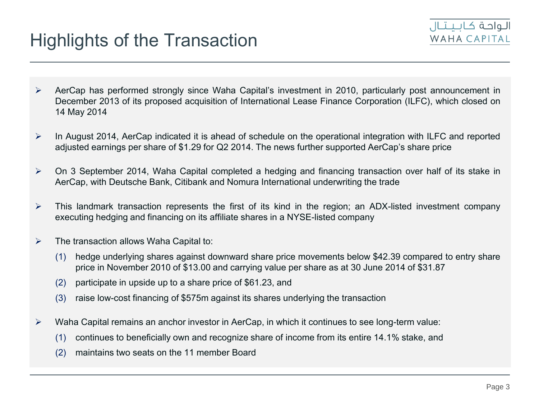

- AerCap has performed strongly since Waha Capital's investment in 2010, particularly post announcement in December 2013 of its proposed acquisition of International Lease Finance Corporation (ILFC), which closed on 14 May 2014
- $\triangleright$  In August 2014, AerCap indicated it is ahead of schedule on the operational integration with ILFC and reported adjusted earnings per share of \$1.29 for Q2 2014. The news further supported AerCap's share price
- On 3 September 2014, Waha Capital completed a hedging and financing transaction over half of its stake in AerCap, with Deutsche Bank, Citibank and Nomura International underwriting the trade
- $\triangleright$  This landmark transaction represents the first of its kind in the region; an ADX-listed investment company executing hedging and financing on its affiliate shares in a NYSE-listed company
- $\triangleright$  The transaction allows Waha Capital to:
	- (1) hedge underlying shares against downward share price movements below \$42.39 compared to entry share price in November 2010 of \$13.00 and carrying value per share as at 30 June 2014 of \$31.87
	- (2) participate in upside up to a share price of \$61.23, and
	- (3) raise low-cost financing of \$575m against its shares underlying the transaction
- $\triangleright$  Waha Capital remains an anchor investor in AerCap, in which it continues to see long-term value:
	- (1) continues to beneficially own and recognize share of income from its entire 14.1% stake, and
	- (2) maintains two seats on the 11 member Board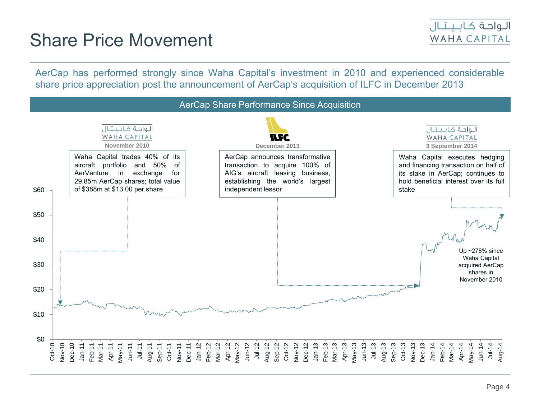## Share Price Movement



AerCap has performed strongly since Waha Capital's investment in 2010 and experienced considerable share price appreciation post the announcement of AerCap's acquisition of ILFC in December 2013

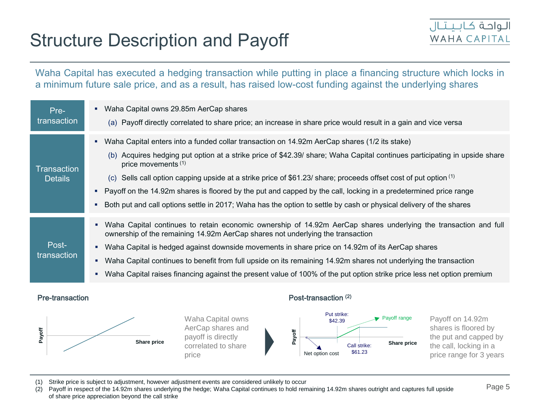## Structure Description and Payoff



Waha Capital has executed a hedging transaction while putting in place a financing structure which locks in a minimum future sale price, and as a result, has raised low-cost funding against the underlying shares

| Pre-<br>transaction                  | Waha Capital owns 29.85m AerCap shares<br>(a) Payoff directly correlated to share price; an increase in share price would result in a gain and vice versa                                                                                                                                                                                                                                                                                                                                                                                                                                                           |
|--------------------------------------|---------------------------------------------------------------------------------------------------------------------------------------------------------------------------------------------------------------------------------------------------------------------------------------------------------------------------------------------------------------------------------------------------------------------------------------------------------------------------------------------------------------------------------------------------------------------------------------------------------------------|
| <b>Transaction</b><br><b>Details</b> | Waha Capital enters into a funded collar transaction on 14.92m AerCap shares (1/2 its stake)<br>Acquires hedging put option at a strike price of \$42.39/ share; Waha Capital continues participating in upside share<br>(b)<br>price movements (1)<br>(c) Sells call option capping upside at a strike price of \$61.23/ share; proceeds offset cost of put option (1)<br>• Payoff on the 14.92m shares is floored by the put and capped by the call, locking in a predetermined price range<br>Both put and call options settle in 2017; Waha has the option to settle by cash or physical delivery of the shares |
| Post-<br>transaction                 | Waha Capital continues to retain economic ownership of 14.92m AerCap shares underlying the transaction and full<br>ownership of the remaining 14.92m AerCap shares not underlying the transaction<br>Waha Capital is hedged against downside movements in share price on 14.92m of its AerCap shares<br>٠<br>Waha Capital continues to benefit from full upside on its remaining 14.92m shares not underlying the transaction<br>Waha Capital raises financing against the present value of 100% of the put option strike price less net option premium                                                             |

### Pre-transaction



Waha Capital owns AerCap shares and payoff is directly correlated to share price

### Post-transaction (2)



Payoff on 14.92m shares is floored by the put and capped by the call, locking in a price range for 3 years

(1) Strike price is subject to adjustment, however adjustment events are considered unlikely to occur

(2) Payoff in respect of the 14.92m shares underlying the hedge; Waha Capital continues to hold remaining 14.92m shares outright and captures full upside of share price appreciation beyond the call strike